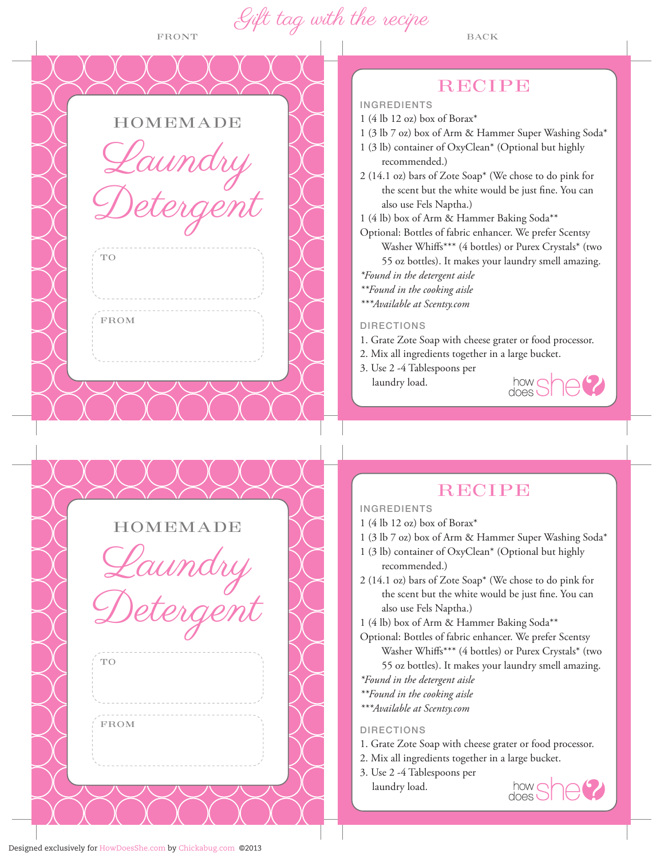FRONT  $\overline{U}$  BACK Gift tag with the recipe

**HOMEMADE** 

Laundry

Detergent

**HOMEMADE** 

Detergent

indry

TO

FROM

|  | and the state of |  |  |
|--|------------------|--|--|
|  |                  |  |  |

INGREDIENTS

- 1 (4 lb 12 oz) box of Borax\*
- 1 (3 lb 7 oz) box of Arm & Hammer Super Washing Soda\*
- 1 (3 lb) container of OxyClean\* (Optional but highly recommended.)
- 2 (14.1 oz) bars of Zote Soap\* (We chose to do pink for the scent but the white would be just fine. You can also use Fels Naptha.)
- 1 (4 lb) box of Arm & Hammer Baking Soda\*\*
- Optional: Bottles of fabric enhancer. We prefer Scentsy Washer Whiffs\*\*\* (4 bottles) or Purex Crystals\* (two 55 oz bottles). It makes your laundry smell amazing. *\*Found in the detergent aisle*
- *\*\*Found in the cooking aisle*
- *\*\*\*Available at Scentsy.com*

## DIRECTIONS

- 1. Grate Zote Soap with cheese grater or food processor.
- 2. Mix all ingredients together in a large bucket.
- 3. Use 2 -4 Tablespoons per laundry load.



# **RECIPE**

## INGREDIENTS

- 1 (4 lb 12 oz) box of Borax\*
- 1 (3 lb 7 oz) box of Arm & Hammer Super Washing Soda\*
- 1 (3 lb) container of OxyClean\* (Optional but highly recommended.)
- 2 (14.1 oz) bars of Zote Soap\* (We chose to do pink for the scent but the white would be just fine. You can also use Fels Naptha.)

1 (4 lb) box of Arm & Hammer Baking Soda\*\*

Optional: Bottles of fabric enhancer. We prefer Scentsy Washer Whiffs\*\*\* (4 bottles) or Purex Crystals\* (two 55 oz bottles). It makes your laundry smell amazing.

- *\*Found in the detergent aisle*
- *\*\*Found in the cooking aisle*
- *\*\*\*Available at Scentsy.com*

### DIRECTIONS

- 1. Grate Zote Soap with cheese grater or food processor.
- 2. Mix all ingredients together in a large bucket.
- 3. Use 2 -4 Tablespoons per
- laundry load.



TO

FROM